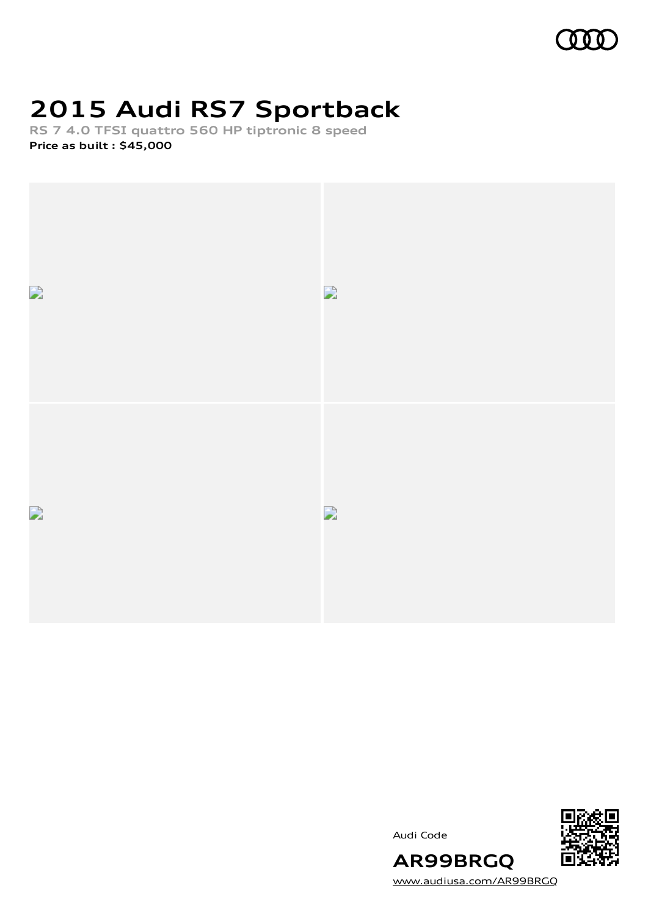

# **2015 Audi RS7 Sportback**

**RS 7 4.0 TFSI quattro 560 HP tiptronic 8 speed Price as built [:](#page-10-0) \$45,000**



Audi Code



[www.audiusa.com/AR99BRGQ](https://www.audiusa.com/AR99BRGQ)

**AR99BRGQ**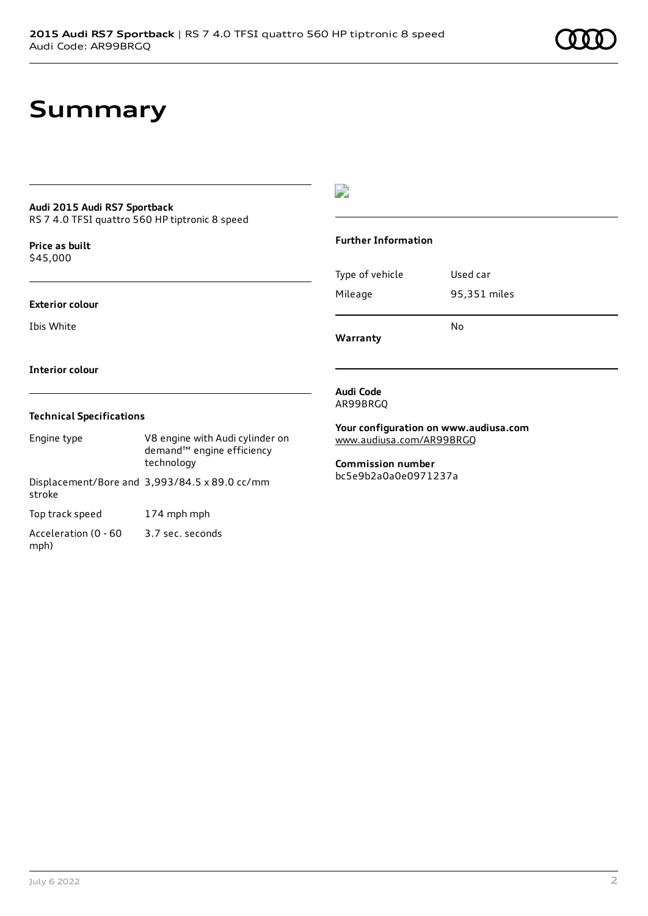## **Summary**

### **Audi 2015 Audi RS7 Sportback**

RS 7 4.0 TFSI quattro 560 HP tiptronic 8 speed

**Price as buil[t](#page-10-0)** \$45,000

#### **Exterior colour**

Ibis White

#### **Interior colour**

#### **Technical Specifications**

| Engine type                  | V8 engine with Audi cylinder on<br>demand <sup>™</sup> engine efficiency<br>technology |
|------------------------------|----------------------------------------------------------------------------------------|
| stroke                       | Displacement/Bore and 3,993/84.5 x 89.0 cc/mm                                          |
| Top track speed              | 174 mph mph                                                                            |
| Acceleration (0 - 60<br>mph) | 3.7 sec. seconds                                                                       |

### $\overline{\phantom{a}}$

#### **Further Information**

|                 | N٥           |
|-----------------|--------------|
| Mileage         | 95,351 miles |
| Type of vehicle | Used car     |

**Warranty**

#### **Audi Code** AR99BRGQ

**Your configuration on www.audiusa.com** [www.audiusa.com/AR99BRGQ](https://www.audiusa.com/AR99BRGQ)

**Commission number** bc5e9b2a0a0e0971237a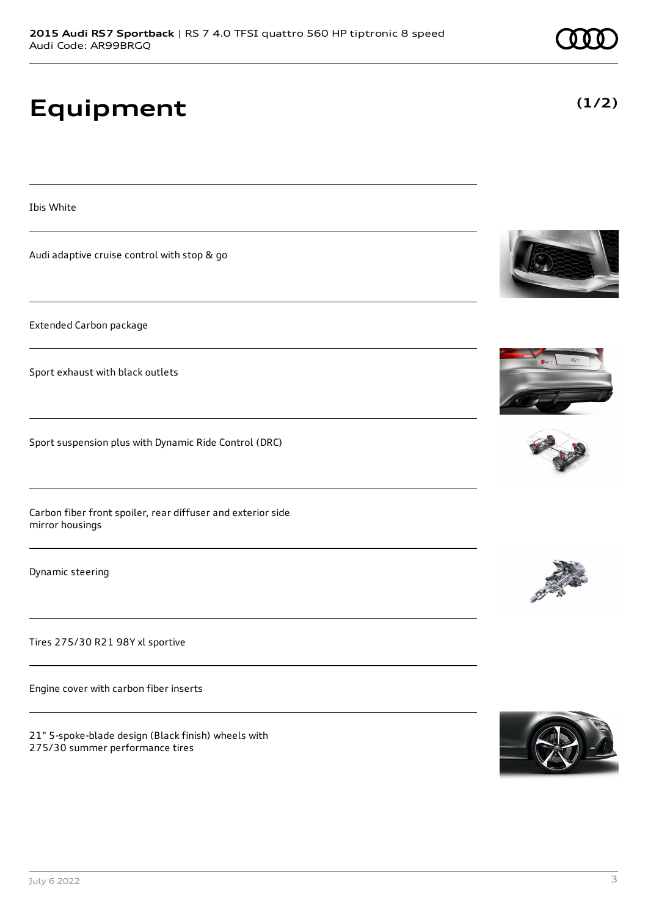## **Equipment**

Ibis White

Audi adaptive cruise control with stop & go

Extended Carbon package

Sport exhaust with black outlets

Sport suspension plus with Dynamic Ride Control (DRC)

Carbon fiber front spoiler, rear diffuser and exterior side mirror housings

Dynamic steering

Tires 275/30 R21 98Y xl sportive

Engine cover with carbon fiber inserts

21" 5-spoke-blade design (Black finish) wheels with 275/30 summer performance tires













**(1/2)**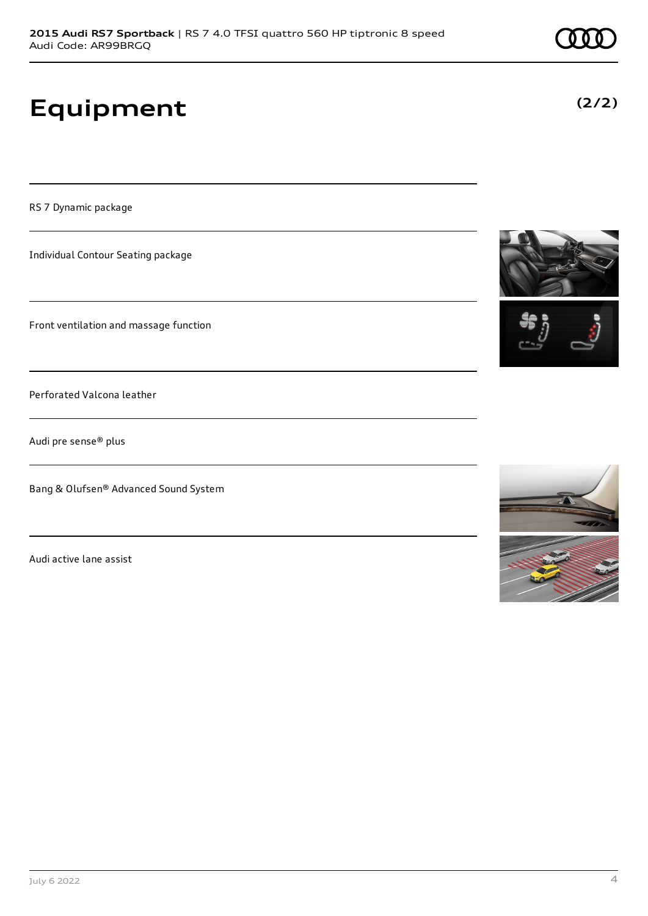# **Equipment**

RS 7 Dynamic package

Individual Contour Seating package

Front ventilation and massage function

Perforated Valcona leather

Audi pre sense® plus

Bang & Olufsen® Advanced Sound System

Audi active lane assist





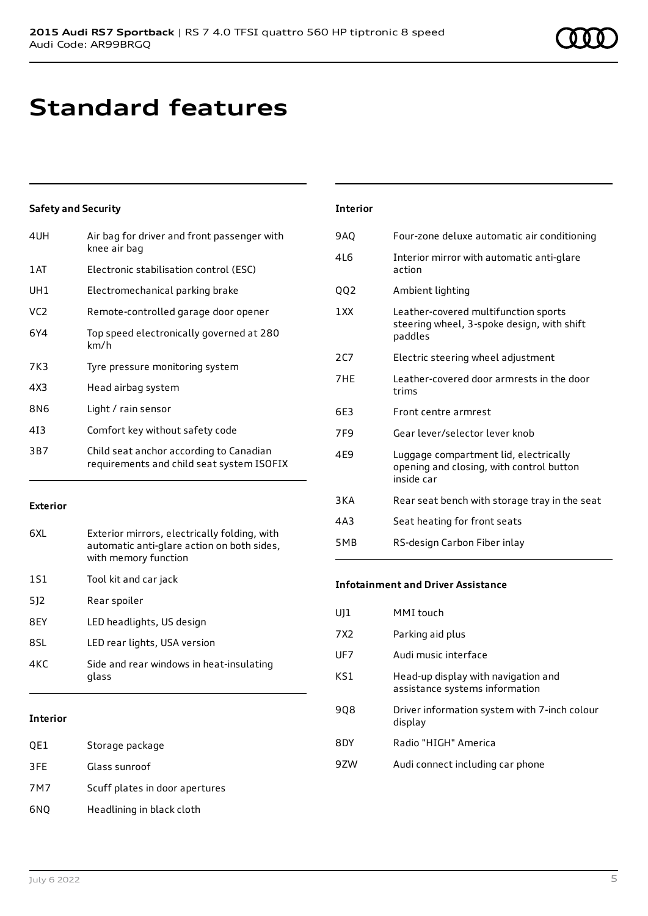# **Standard features**

### **Safety and Security**

| 4UH             | Air bag for driver and front passenger with<br>knee air bag                          |
|-----------------|--------------------------------------------------------------------------------------|
| 1 AT            | Electronic stabilisation control (ESC)                                               |
| UH1             | Electromechanical parking brake                                                      |
| VC <sub>2</sub> | Remote-controlled garage door opener                                                 |
| 6Y4             | Top speed electronically governed at 280<br>km/h                                     |
| 7K3             | Tyre pressure monitoring system                                                      |
| 4X3             | Head airbag system                                                                   |
| 8N6             | Light / rain sensor                                                                  |
| 413             | Comfort key without safety code                                                      |
| 3B7             | Child seat anchor according to Canadian<br>requirements and child seat system ISOFIX |

### **Exterior**

| 6XI. | Exterior mirrors, electrically folding, with<br>automatic anti-glare action on both sides,<br>with memory function |
|------|--------------------------------------------------------------------------------------------------------------------|
| 1S1  | Tool kit and car jack                                                                                              |
| 512  | Rear spoiler                                                                                                       |
| 8FY  | LED headlights, US design                                                                                          |
| 8SL  | LED rear lights, USA version                                                                                       |
| 4KC  | Side and rear windows in heat-insulating<br>glass                                                                  |
|      |                                                                                                                    |

### **Interior**

| QE1 | Storage package                |
|-----|--------------------------------|
| 3FE | Glass sunroof                  |
| 7M7 | Scuff plates in door apertures |
| 6NQ | Headlining in black cloth      |

| <b>Interior</b> |                                                                                                 |
|-----------------|-------------------------------------------------------------------------------------------------|
| 9AO             | Four-zone deluxe automatic air conditioning                                                     |
| 416             | Interior mirror with automatic anti-glare<br>action                                             |
| 002             | Ambient lighting                                                                                |
| 1 XX            | Leather-covered multifunction sports<br>steering wheel, 3-spoke design, with shift<br>paddles   |
| 2CZ             | Electric steering wheel adjustment                                                              |
| 7HF             | Leather-covered door armrests in the door<br>trims                                              |
| 6F3             | Front centre armrest                                                                            |
| 7F9             | Gear lever/selector lever knob                                                                  |
| 4E9             | Luggage compartment lid, electrically<br>opening and closing, with control button<br>inside car |
| 3 K A           | Rear seat bench with storage tray in the seat                                                   |
| 4A3             | Seat heating for front seats                                                                    |
| 5MB             | RS-design Carbon Fiber inlay                                                                    |
|                 |                                                                                                 |

### **Infotainment and Driver Assistance**

| UJ1 | MMI touch                                                             |
|-----|-----------------------------------------------------------------------|
| 7X2 | Parking aid plus                                                      |
| UF7 | Audi music interface                                                  |
| KS1 | Head-up display with navigation and<br>assistance systems information |
| 908 | Driver information system with 7-inch colour<br>display               |
| 8DY | Radio "HIGH" America                                                  |
| 97W | Audi connect including car phone                                      |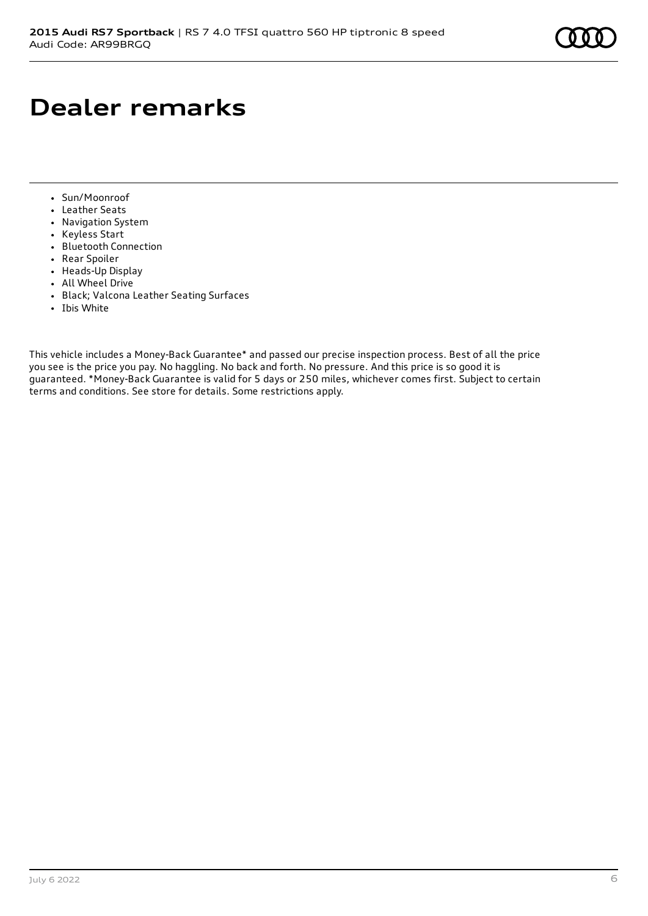## **Dealer remarks**

- Sun/Moonroof
- Leather Seats
- Navigation System
- Keyless Start
- Bluetooth Connection
- Rear Spoiler
- Heads-Up Display
- All Wheel Drive
- Black; Valcona Leather Seating Surfaces
- Ibis White

This vehicle includes a Money-Back Guarantee\* and passed our precise inspection process. Best of all the price you see is the price you pay. No haggling. No back and forth. No pressure. And this price is so good it is guaranteed. \*Money-Back Guarantee is valid for 5 days or 250 miles, whichever comes first. Subject to certain terms and conditions. See store for details. Some restrictions apply.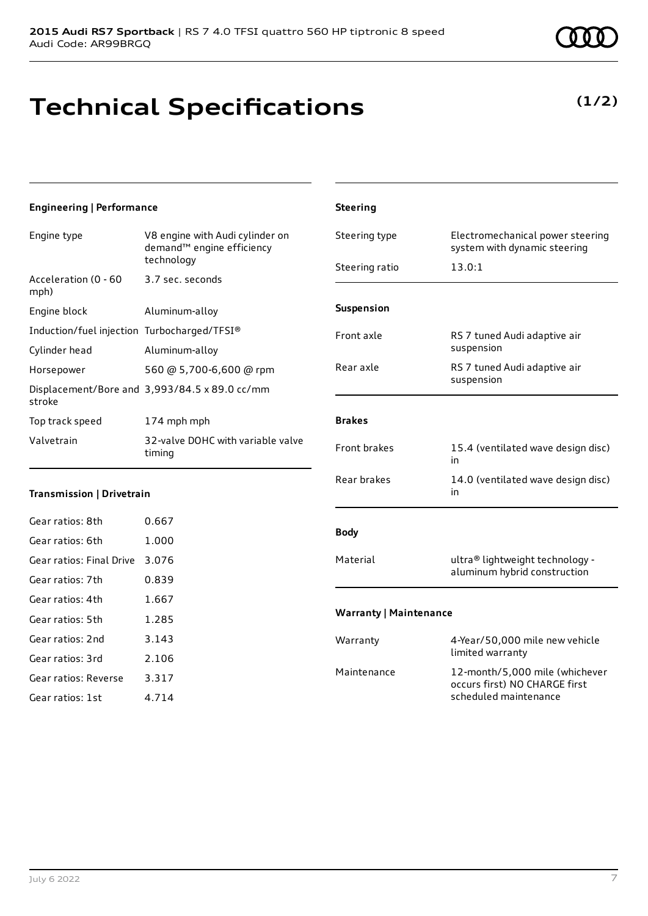## **Technical Specifications**

**(1/2)**

| Engineering   Performance                   |                                                                                        | <b>Steering</b>                 |
|---------------------------------------------|----------------------------------------------------------------------------------------|---------------------------------|
| Engine type                                 | V8 engine with Audi cylinder on<br>demand <sup>™</sup> engine efficiency<br>technology | Steering type<br>Steering ratio |
| Acceleration (0 - 60<br>mph)                | 3.7 sec. seconds                                                                       |                                 |
| Engine block                                | Aluminum-alloy                                                                         | Suspension                      |
| Induction/fuel injection Turbocharged/TFSI® |                                                                                        | Front axle                      |
| Cylinder head                               | Aluminum-alloy                                                                         |                                 |
| Horsepower                                  | 560 @ 5,700-6,600 @ rpm                                                                | Rear axle                       |
| stroke                                      | Displacement/Bore and 3,993/84.5 x 89.0 cc/mm                                          |                                 |
| Top track speed                             | 174 mph mph                                                                            | <b>Brakes</b>                   |
| Valvetrain                                  | 32-valve DOHC with variable valve<br>timing                                            | Front brakes                    |
| Transmission   Drivetrain                   |                                                                                        | Rear brakes                     |
| Gear ratios: 8th                            | 0.667                                                                                  |                                 |
| Gear ratios: 6th                            | 1.000                                                                                  | <b>Body</b>                     |
| Gear ratios: Final Drive                    | 3.076                                                                                  | Material                        |
| Gear ratios: 7th                            | 0.839                                                                                  |                                 |
|                                             |                                                                                        |                                 |

| Steering                      |                                                                                          |
|-------------------------------|------------------------------------------------------------------------------------------|
| Steering type                 | Electromechanical power steering<br>system with dynamic steering                         |
| Steering ratio                | 13.0:1                                                                                   |
|                               |                                                                                          |
| <b>Suspension</b>             |                                                                                          |
| Front axle                    | RS 7 tuned Audi adaptive air<br>suspension                                               |
| Rear axle                     | RS 7 tuned Audi adaptive air<br>suspension                                               |
|                               |                                                                                          |
| <b>Brakes</b>                 |                                                                                          |
| <b>Front brakes</b>           | 15.4 (ventilated wave design disc)<br>in                                                 |
| Rear brakes                   | 14.0 (ventilated wave design disc)<br>in                                                 |
| <b>Body</b>                   |                                                                                          |
| Material                      | ultra® lightweight technology -<br>aluminum hybrid construction                          |
| <b>Warranty   Maintenance</b> |                                                                                          |
| Warranty                      | 4-Year/50,000 mile new vehicle<br>limited warranty                                       |
| Maintenance                   | 12-month/5,000 mile (whichever<br>occurs first) NO CHARGE first<br>scheduled maintenance |

Gear ratios: 4th 1.667 Gear ratios: 5th 1.285 Gear ratios: 2nd 3.143 Gear ratios: 3rd 2.106 Gear ratios: Reverse 3.317 Gear ratios: 1st 4.714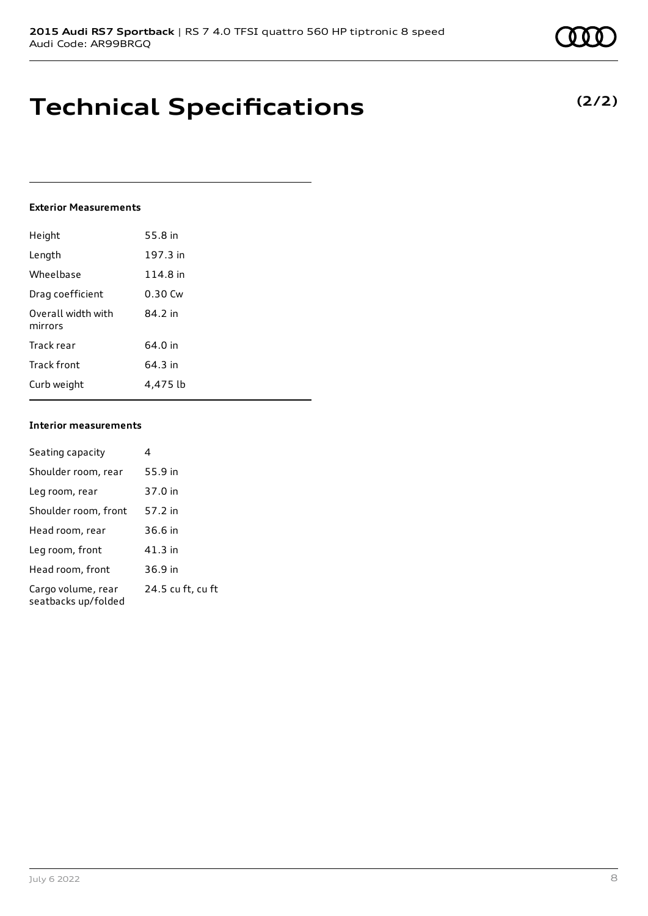## **Technical Specifications**

#### **Exterior Measurements**

| Height                        | 55.8 in  |
|-------------------------------|----------|
| Length                        | 197.3 in |
| Wheelbase                     | 114.8 in |
| Drag coefficient              | 0.30 Cw  |
| Overall width with<br>mirrors | 84.2 in  |
| Track rear                    | 64.0 in  |
| Track front                   | 64.3 in  |
| Curb weight                   | 4.475 lb |

### **Interior measurements**

| Seating capacity                          |                   |
|-------------------------------------------|-------------------|
| Shoulder room, rear                       | 55.9 in           |
| Leg room, rear                            | 37.0 in           |
| Shoulder room, front                      | 57.2 in           |
| Head room, rear                           | 36.6 in           |
| Leg room, front                           | 41.3 in           |
| Head room, front                          | 36.9 in           |
| Cargo volume, rear<br>seatbacks up/folded | 24.5 cu ft, cu ft |

## **(2/2)**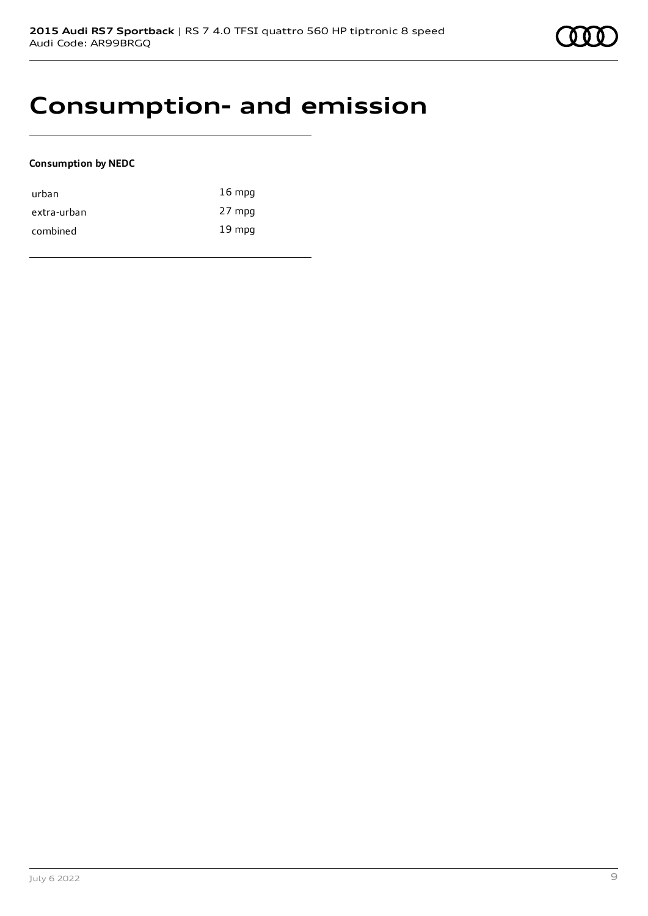## **Consumption- and emission**

### **Consumption by NEDC**

| urban       | $16 \text{ mpg}$ |
|-------------|------------------|
| extra-urban | 27 mpg           |
| combined    | $19 \text{ mpg}$ |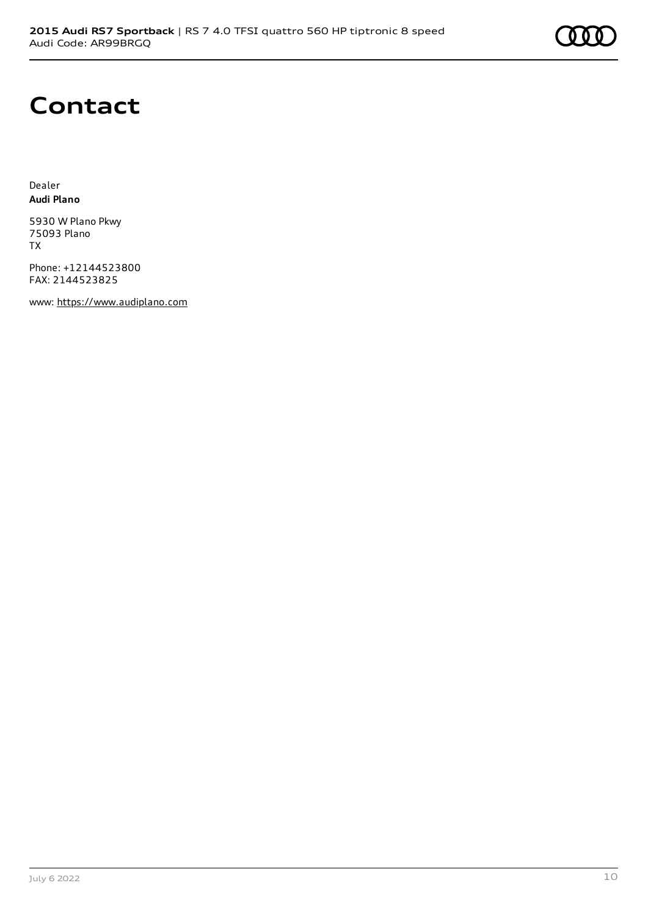

## **Contact**

Dealer **Audi Plano**

5930 W Plano Pkwy 75093 Plano TX

Phone: +12144523800 FAX: 2144523825

www: [https://www.audiplano.com](https://www.audiplano.com/)